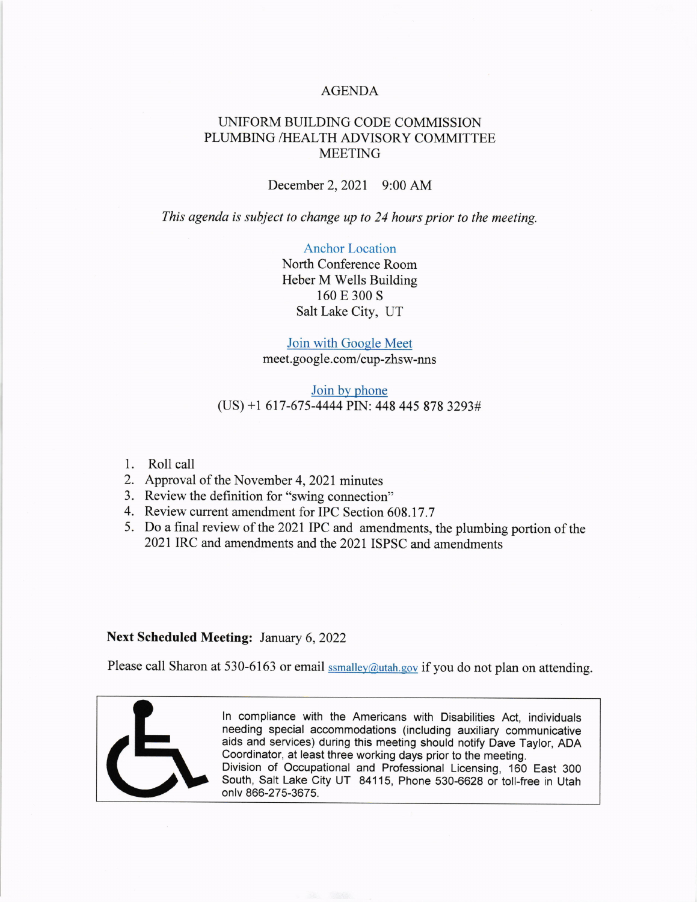## AGENDA

# UNIFORM BUILDING CODE COMMISSION PLUMBING /HEALTH ADVISORY COMMITTEE MEETING

December 2,2021 9:00 AM

This agenda is subject to change up to 24 hours prior to the meeting.

Anchor Location North Conference Room Heber M Wells Building

160 E 300 S Salt Lake City, UT

## Join with Gooele Meet meet. goo gle. com/cup-zhsw-nns

## Join by phone (US) +1 617-675-4444 PIN: 448 445 878 3293#

- 1. Roll call
- 2. Approval of the November 4, 2021 minutes
- 3. Review the definition for "swing connection"
- 4. Review current amendment for IPC Section 608.17.7
- 5. Do a final review of the 2021 IPC and amendments, the plumbing portion of the 2021 IRC and amendments and the 2021 ISPSC and amendments

## Next Scheduled Meeting: January 6, 2022

Please call Sharon at 530-6163 or email **samalley@utah.gov** if you do not plan on attending.



ln compliance with the Americans with Disabilities Act, individuals needing special accommodations (including auxiliary communicative aids and services) during this meeting should notify Dave Taylor, ADA Coordinator, at least three working days prior to the meeting. Division of Occupational and Professional Licensing, 160 East 300 South, Salt Lake City UT 84115, Phone 530-6628 or toil-free in Utah onlv 866-275-3675.